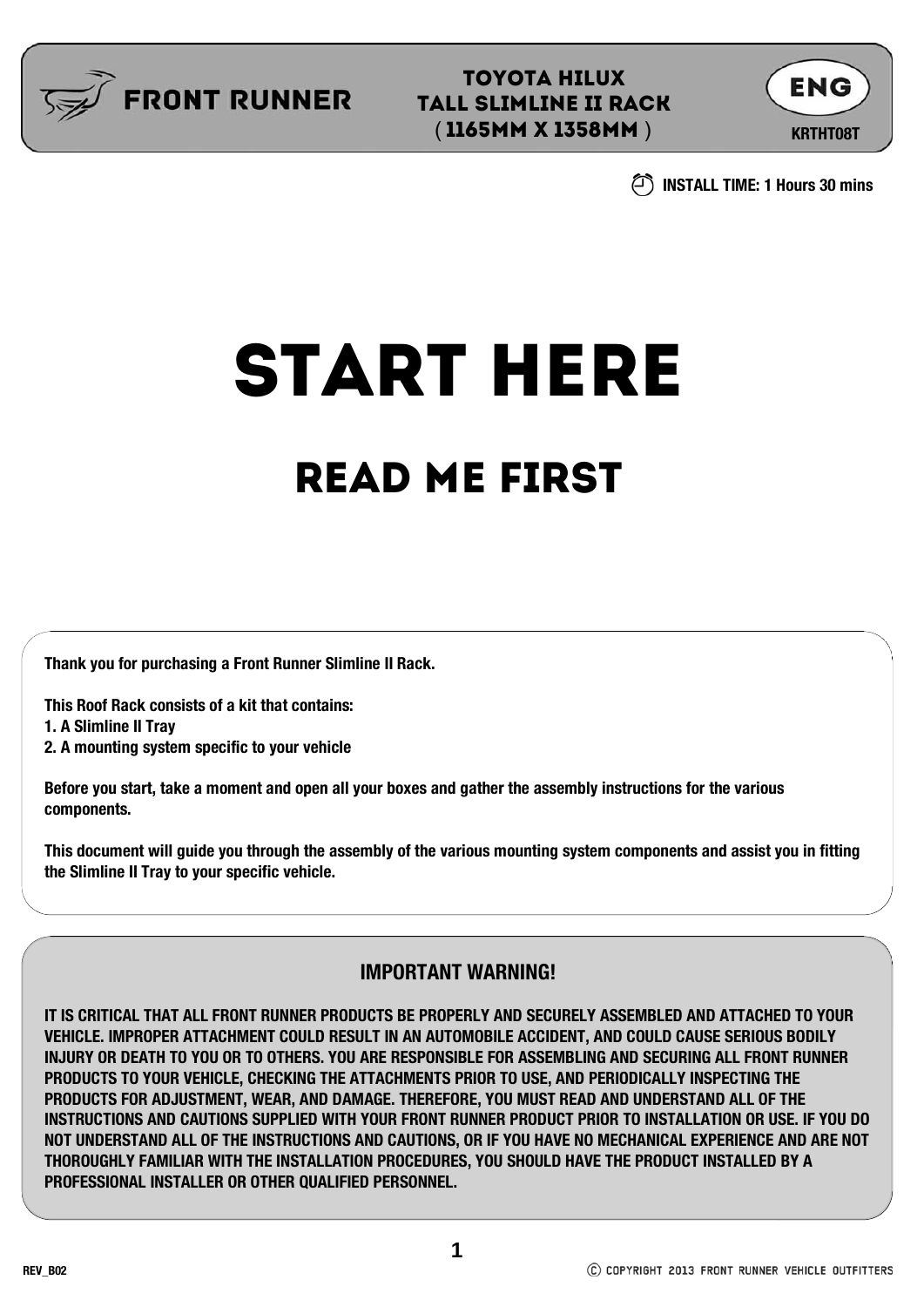

TOYOTA HILUX TALL SLIMLINE ii RACK (**1165MM X 1358MM** ) KRTHT08T



**INSTALL TIME: 1 Hours 30 mins**

# START HERE

## READ ME FIRST

**Thank you for purchasing a Front Runner Slimline II Rack.**

**This Roof Rack consists of a kit that contains:**

**1. A Slimline II Tray**

**2. A mounting system specific to your vehicle**

**Before you start, take a moment and open all your boxes and gather the assembly instructions for the various components.**

**This document will guide you through the assembly of the various mounting system components and assist you in fitting the Slimline II Tray to your specific vehicle.**

#### **IMPORTANT WARNING!**

**IT IS CRITICAL THAT ALL FRONT RUNNER PRODUCTS BE PROPERLY AND SECURELY ASSEMBLED AND ATTACHED TO YOUR VEHICLE. IMPROPER ATTACHMENT COULD RESULT IN AN AUTOMOBILE ACCIDENT, AND COULD CAUSE SERIOUS BODILY INJURY OR DEATH TO YOU OR TO OTHERS. YOU ARE RESPONSIBLE FOR ASSEMBLING AND SECURING ALL FRONT RUNNER PRODUCTS TO YOUR VEHICLE, CHECKING THE ATTACHMENTS PRIOR TO USE, AND PERIODICALLY INSPECTING THE PRODUCTS FOR ADJUSTMENT, WEAR, AND DAMAGE. THEREFORE, YOU MUST READ AND UNDERSTAND ALL OF THE INSTRUCTIONS AND CAUTIONS SUPPLIED WITH YOUR FRONT RUNNER PRODUCT PRIOR TO INSTALLATION OR USE. IF YOU DO NOT UNDERSTAND ALL OF THE INSTRUCTIONS AND CAUTIONS, OR IF YOU HAVE NO MECHANICAL EXPERIENCE AND ARE NOT THOROUGHLY FAMILIAR WITH THE INSTALLATION PROCEDURES, YOU SHOULD HAVE THE PRODUCT INSTALLED BY A PROFESSIONAL INSTALLER OR OTHER QUALIFIED PERSONNEL.**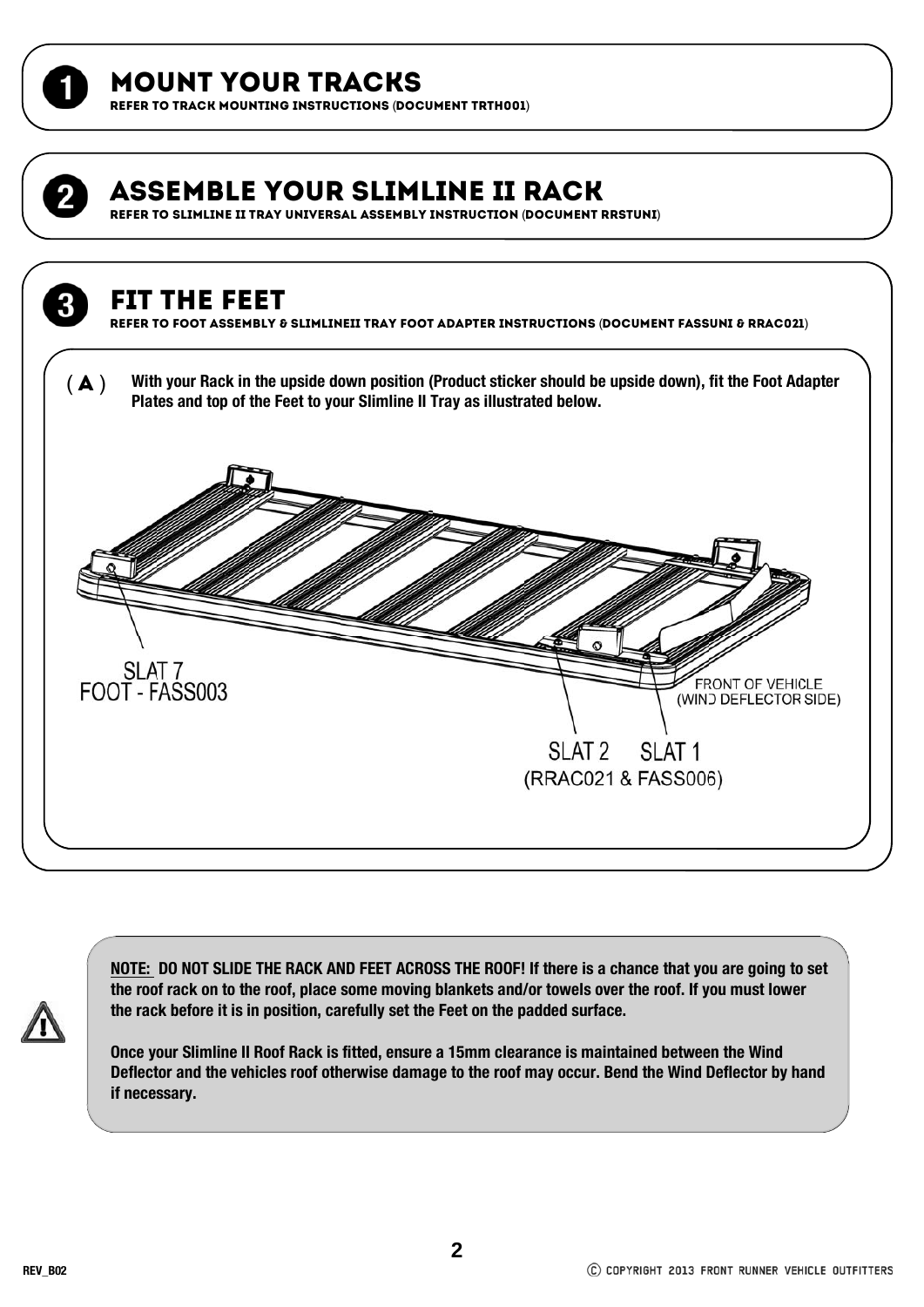

### MOUNT YOUR TRACKS

REFER TO TRACK MOUNTING INSTRUCTIONS (DOCUMENT TRTH001)

## Assemble your Slimline II Rack REFER TO SLIMLINE II TRAY UNIVERSAL ASSEMBLY INSTRUCTION (DOCUMENT RRSTUNI) Fit the feet REFER TO FOOT ASSEMBLY & SLIMLINEII TRAY FOOT ADAPTER INSTRUCTIONS (DOCUMENT FASSUNI & RRAC021) ( $\blacktriangle$ ) With your Rack in the upside down position (Product sticker should be upside down), fit the Foot Adapter **Plates and top of the Feet to your Slimline II Tray as illustrated below.**  SLAT 7<br>FOOT - FASS003 FRONT OF VEHICLE (WIND DEFLECTOR SIDE) SLAT<sub>2</sub> SLAT<sub>1</sub> (RRAC021 & FASS006)

**NOTE: DO NOT SLIDE THE RACK AND FEET ACROSS THE ROOF! If there is a chance that you are going to set the roof rack on to the roof, place some moving blankets and/or towels over the roof. If you must lower the rack before it is in position, carefully set the Feet on the padded surface.**

**Once your Slimline II Roof Rack is fitted, ensure a 15mm clearance is maintained between the Wind Deflector and the vehicles roof otherwise damage to the roof may occur. Bend the Wind Deflector by hand if necessary.**